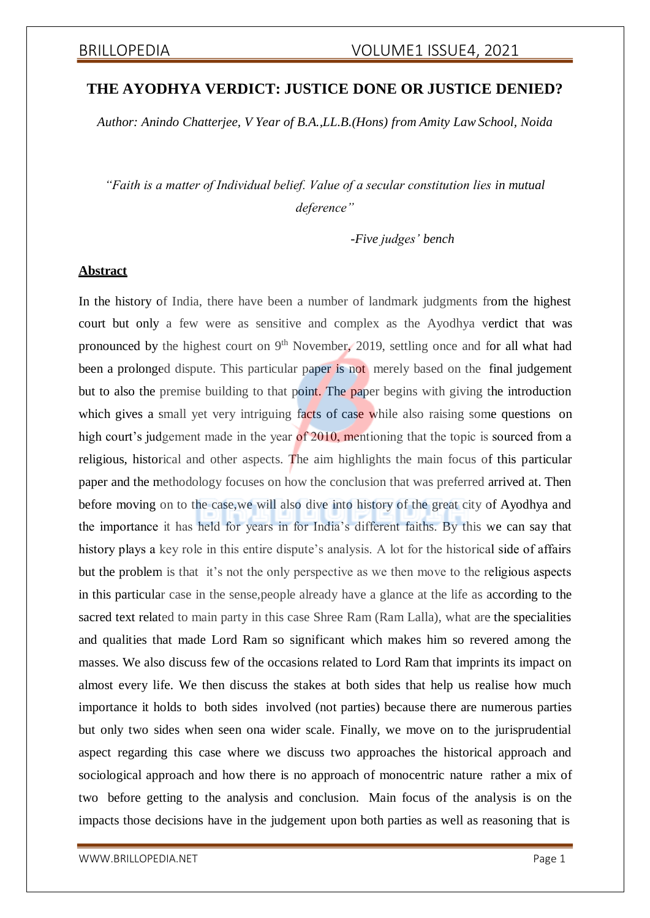# **THE AYODHYA VERDICT: JUSTICE DONE OR JUSTICE DENIED?**

*Author: Anindo Chatterjee, V Year of B.A.,LL.B.(Hons) from Amity Law School, Noida*

*"Faith is a matter of Individual belief. Value of a secular constitution lies in mutual deference"*

*-Five judges' bench*

# **Abstract**

In the history of India, there have been a number of landmark judgments from the highest court but only a few were as sensitive and complex as the Ayodhya verdict that was pronounced by the highest court on  $9<sup>th</sup>$  November, 2019, settling once and for all what had been a prolonged dispute. This particular paper is not merely based on the final judgement but to also the premise building to that point. The paper begins with giving the introduction which gives a small yet very intriguing facts of case while also raising some questions on high court's judgement made in the year of 2010, mentioning that the topic is sourced from a religious, historical and other aspects. The aim highlights the main focus of this particular paper and the methodology focuses on how the conclusion that was preferred arrived at. Then before moving on to the case,we will also dive into history of the great city of Ayodhya and the importance it has held for years in for India's different faiths. By this we can say that history plays a key role in this entire dispute's analysis. A lot for the historical side of affairs but the problem is that it's not the only perspective as we then move to the religious aspects in this particular case in the sense,people already have a glance at the life as according to the sacred text related to main party in this case Shree Ram (Ram Lalla), what are the specialities and qualities that made Lord Ram so significant which makes him so revered among the masses. We also discuss few of the occasions related to Lord Ram that imprints its impact on almost every life. We then discuss the stakes at both sides that help us realise how much importance it holds to both sides involved (not parties) because there are numerous parties but only two sides when seen ona wider scale. Finally, we move on to the jurisprudential aspect regarding this case where we discuss two approaches the historical approach and sociological approach and how there is no approach of monocentric nature rather a mix of two before getting to the analysis and conclusion. Main focus of the analysis is on the impacts those decisions have in the judgement upon both parties as well as reasoning that is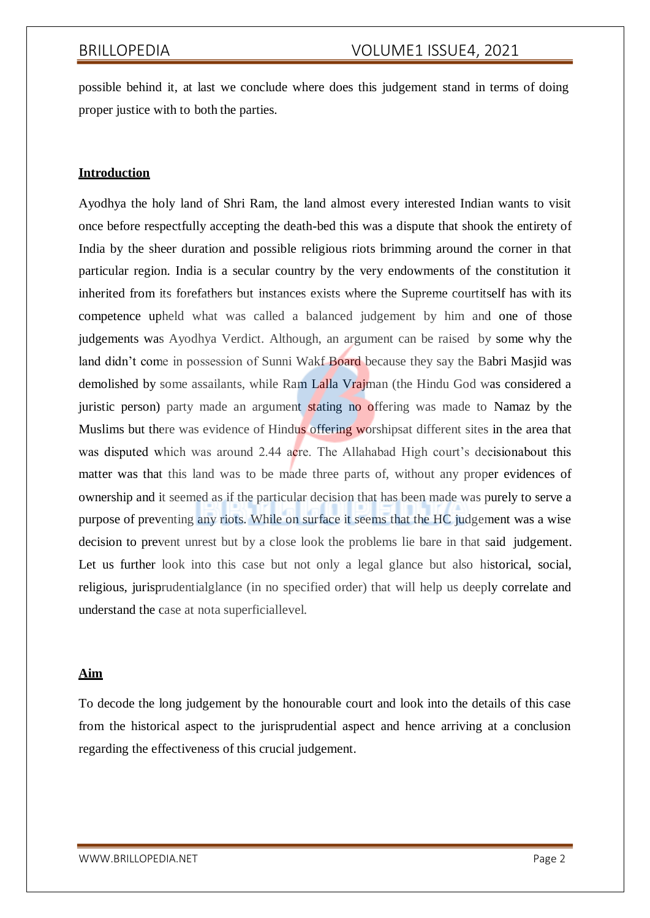possible behind it, at last we conclude where does this judgement stand in terms of doing proper justice with to both the parties.

# **Introduction**

Ayodhya the holy land of Shri Ram, the land almost every interested Indian wants to visit once before respectfully accepting the death-bed this was a dispute that shook the entirety of India by the sheer duration and possible religious riots brimming around the corner in that particular region. India is a secular country by the very endowments of the constitution it inherited from its forefathers but instances exists where the Supreme courtitself has with its competence upheld what was called a balanced judgement by him and one of those judgements was Ayodhya Verdict. Although, an argument can be raised by some why the land didn't come in possession of Sunni Wakf Board because they say the Babri Masjid was demolished by some assailants, while Ram Lalla Vrajman (the Hindu God was considered a juristic person) party made an argument stating no offering was made to Namaz by the Muslims but there was evidence of Hindus offering worshipsat different sites in the area that was disputed which was around 2.44 acre. The Allahabad High court's decisionabout this matter was that this land was to be made three parts of, without any proper evidences of ownership and it seemed as if the particular decision that has been made was purely to serve a purpose of preventing any riots. While on surface it seems that the HC judgement was a wise decision to prevent unrest but by a close look the problems lie bare in that said judgement. Let us further look into this case but not only a legal glance but also historical, social, religious, jurisprudentialglance (in no specified order) that will help us deeply correlate and understand the case at nota superficiallevel.

# **Aim**

To decode the long judgement by the honourable court and look into the details of this case from the historical aspect to the jurisprudential aspect and hence arriving at a conclusion regarding the effectiveness of this crucial judgement.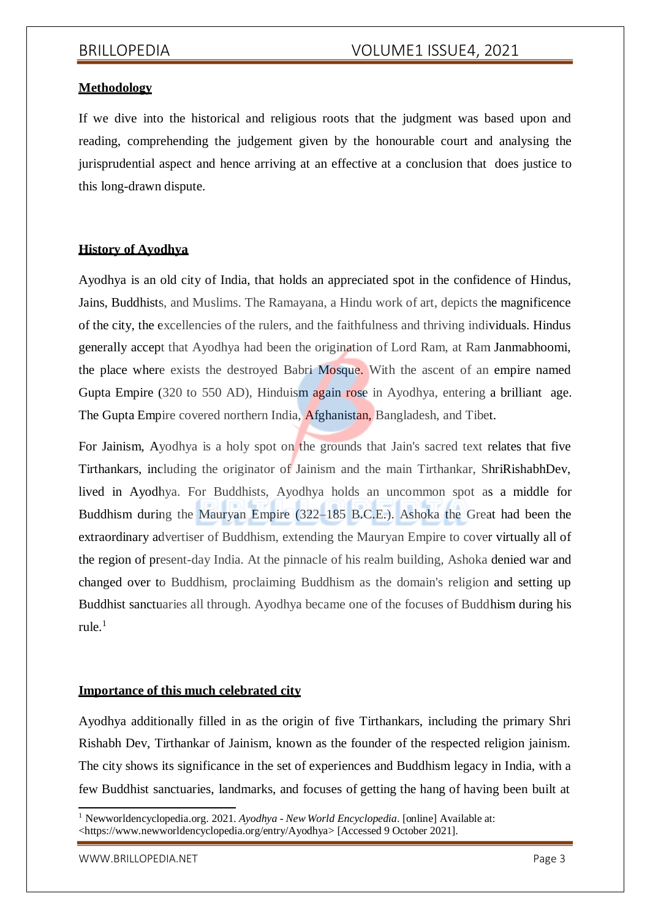# **Methodology**

If we dive into the historical and religious roots that the judgment was based upon and reading, comprehending the judgement given by the honourable court and analysing the jurisprudential aspect and hence arriving at an effective at a conclusion that does justice to this long-drawn dispute.

# **History of Ayodhya**

Ayodhya is an old city of India, that holds an appreciated spot in the confidence of Hindus, Jains, Buddhists, and Muslims. The Ramayana, a Hindu work of art, depicts the magnificence of the city, the excellencies of the rulers, and the faithfulness and thriving individuals. Hindus generally accept that Ayodhya had been the origination of Lord Ram, at Ram Janmabhoomi, the place where exists the destroyed Babri Mosque. With the ascent of an empire named Gupta Empire (320 to 550 AD), Hinduism again rose in Ayodhya, entering a brilliant age. The Gupta Empire covered northern India, Afghanistan, Bangladesh, and Tibet.

For Jainism, Ayodhya is a holy spot on the grounds that Jain's sacred text relates that five Tirthankars, including the originator of Jainism and the main Tirthankar, ShriRishabhDev, lived in Ayodhya. For Buddhists, Ayodhya holds an uncommon spot as a middle for Buddhism during the Mauryan Empire (322–185 B.C.E.). Ashoka the Great had been the extraordinary advertiser of Buddhism, extending the Mauryan Empire to cover virtually all of the region of present-day India. At the pinnacle of his realm building, Ashoka denied war and changed over to Buddhism, proclaiming Buddhism as the domain's religion and setting up Buddhist sanctuaries all through. Ayodhya became one of the focuses of Buddhism during his rule. $<sup>1</sup>$ </sup>

# **Importance of this much celebrated city**

Ayodhya additionally filled in as the origin of five Tirthankars, including the primary Shri Rishabh Dev, Tirthankar of Jainism, known as the founder of the respected religion jainism. The city shows its significance in the set of experiences and Buddhism legacy in India, with a few Buddhist sanctuaries, landmarks, and focuses of getting the hang of having been built at

[WWW.BRILLOPEDIA.NET](http://www.brillopedia.net/) **Page 3** 

<sup>1</sup> Newworldencyclopedia.org. 2021. *Ayodhya - New World Encyclopedia*. [online] Available at: <https:/[/www.newworldencyclopedia.org/entry/Ayodhya>](http://www.newworldencyclopedia.org/entry/Ayodhya) [Accessed 9 October 2021].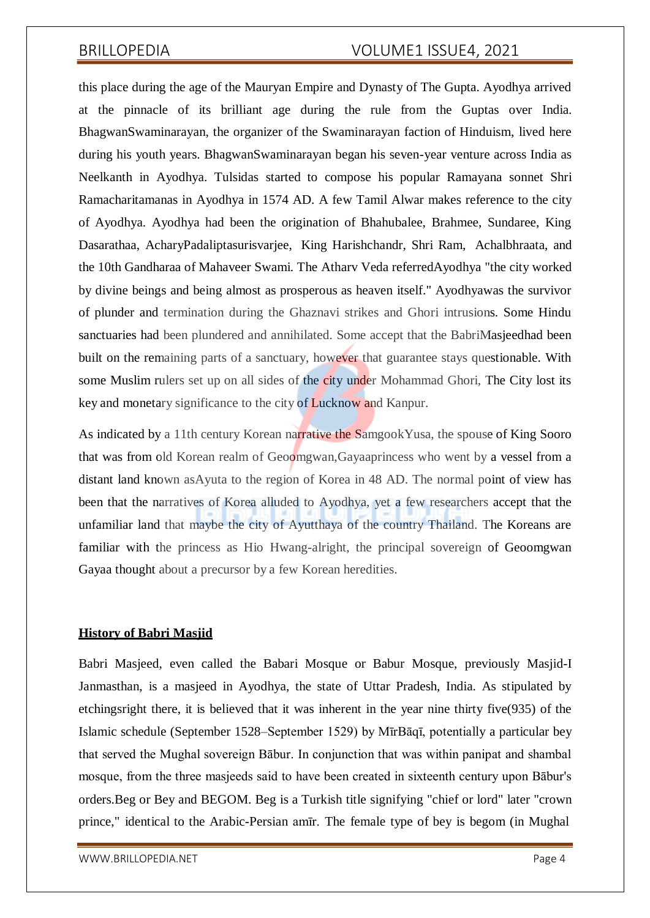this place during the age of the Mauryan Empire and Dynasty of The Gupta. Ayodhya arrived at the pinnacle of its brilliant age during the rule from the Guptas over India. BhagwanSwaminarayan, the organizer of the Swaminarayan faction of Hinduism, lived here during his youth years. BhagwanSwaminarayan began his seven-year venture across India as Neelkanth in Ayodhya. Tulsidas started to compose his popular Ramayana sonnet Shri Ramacharitamanas in Ayodhya in 1574 AD. A few Tamil Alwar makes reference to the city of Ayodhya. Ayodhya had been the origination of Bhahubalee, Brahmee, Sundaree, King Dasarathaa, AcharyPadaliptasurisvarjee, King Harishchandr, Shri Ram, Achalbhraata, and the 10th Gandharaa of Mahaveer Swami. The Atharv Veda referredAyodhya "the city worked by divine beings and being almost as prosperous as heaven itself." Ayodhyawas the survivor of plunder and termination during the Ghaznavi strikes and Ghori intrusions. Some Hindu sanctuaries had been plundered and annihilated. Some accept that the BabriMasjeedhad been built on the remaining parts of a sanctuary, however that guarantee stays questionable. With some Muslim rulers set up on all sides of the city under Mohammad Ghori, The City lost its key and monetary significance to the city of Lucknow and Kanpur.

As indicated by a 11th century Korean narrative the SamgookYusa, the spouse of King Sooro that was from old Korean realm of Geoomgwan,Gayaaprincess who went by a vessel from a distant land known asAyuta to the region of Korea in 48 AD. The normal point of view has been that the narratives of Korea alluded to Ayodhya, yet a few researchers accept that the unfamiliar land that maybe the city of Ayutthaya of the country Thailand. The Koreans are familiar with the princess as Hio Hwang-alright, the principal sovereign of Geoomgwan Gayaa thought about a precursor by a few Korean heredities.

# **History of Babri Masjid**

Babri Masjeed, even called the Babari Mosque or Babur Mosque, previously Masjid-I Janmasthan, is a masjeed in Ayodhya, the state of Uttar Pradesh, India. As stipulated by etchingsright there, it is believed that it was inherent in the year nine thirty five(935) of the Islamic schedule (September 1528–September 1529) by MīrBāqī, potentially a particular bey that served the Mughal sovereign Bābur. In conjunction that was within panipat and shambal mosque, from the three masjeeds said to have been created in sixteenth century upon Bābur's orders.Beg or Bey and BEGOM. Beg is a Turkish title signifying "chief or lord" later "crown prince," identical to the Arabic-Persian amīr. The female type of bey is begom (in Mughal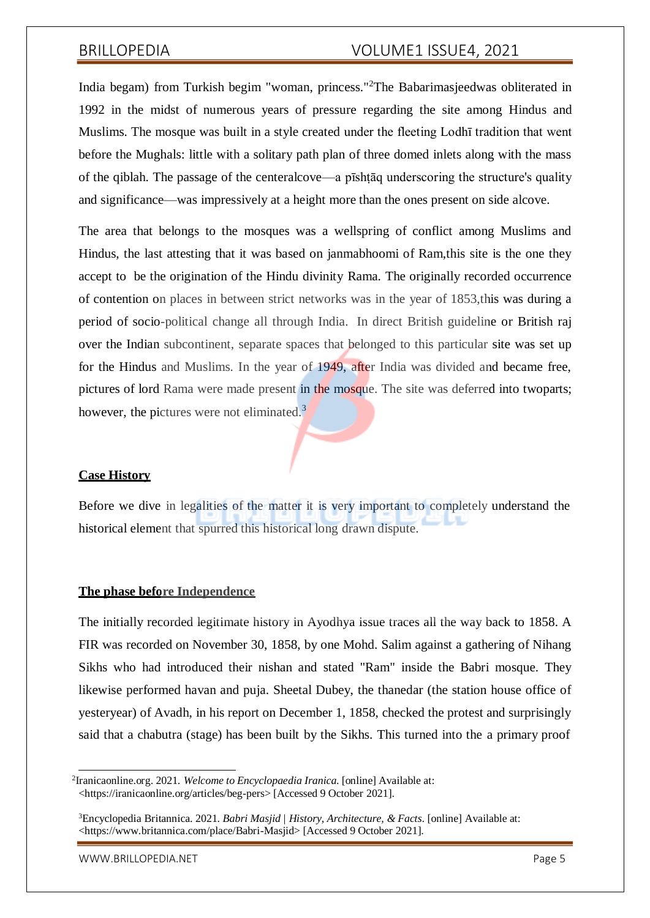India begam) from Turkish begim "woman, princess."<sup>2</sup>The Babarimasjeedwas obliterated in 1992 in the midst of numerous years of pressure regarding the site among Hindus and Muslims. The mosque was built in a style created under the fleeting Lodhī tradition that went before the Mughals: little with a solitary path plan of three domed inlets along with the mass of the qiblah. The passage of the centeralcove—a pīshṭāq underscoring the structure's quality and significance—was impressively at a height more than the ones present on side alcove.

The area that belongs to the mosques was a wellspring of conflict among Muslims and Hindus, the last attesting that it was based on janmabhoomi of Ram,this site is the one they accept to be the origination of the Hindu divinity Rama. The originally recorded occurrence of contention on places in between strict networks was in the year of 1853,this was during a period of socio-political change all through India. In direct British guideline or British raj over the Indian subcontinent, separate spaces that belonged to this particular site was set up for the Hindus and Muslims. In the year of 1949, after India was divided and became free, pictures of lord Rama were made present in the mosque. The site was deferred into twoparts; however, the pictures were not eliminated. $3$ 

### **Case History**

Before we dive in legalities of the matter it is very important to completely understand the historical element that spurred this historical long drawn dispute.

### **The phase before Independence**

The initially recorded legitimate history in Ayodhya issue traces all the way back to 1858. A FIR was recorded on November 30, 1858, by one Mohd. Salim against a gathering of Nihang Sikhs who had introduced their nishan and stated "Ram" inside the Babri mosque. They likewise performed havan and puja. Sheetal Dubey, the thanedar (the station house office of yesteryear) of Avadh, in his report on December 1, 1858, checked the protest and surprisingly said that a chabutra (stage) has been built by the Sikhs. This turned into the a primary proof

[WWW.BRILLOPEDIA.NET](http://www.brillopedia.net/) And the state of the state of the state of the state of the state of the state of the state of the state of the state of the state of the state of the state of the state of the state of the state of the

<sup>2</sup> Iranicaonline.org. 2021. *Welcome to Encyclopaedia Iranica*. [online] Available at: <https://iranicaonline.org/articles/beg-pers> [Accessed 9 October 2021].

<sup>3</sup>Encyclopedia Britannica. 2021. *Babri Masjid | History, Architecture, & Facts*. [online] Available at: <https:/[/www.britannica.com/place/Babri-Masjid>](http://www.britannica.com/place/Babri-Masjid) [Accessed 9 October 2021].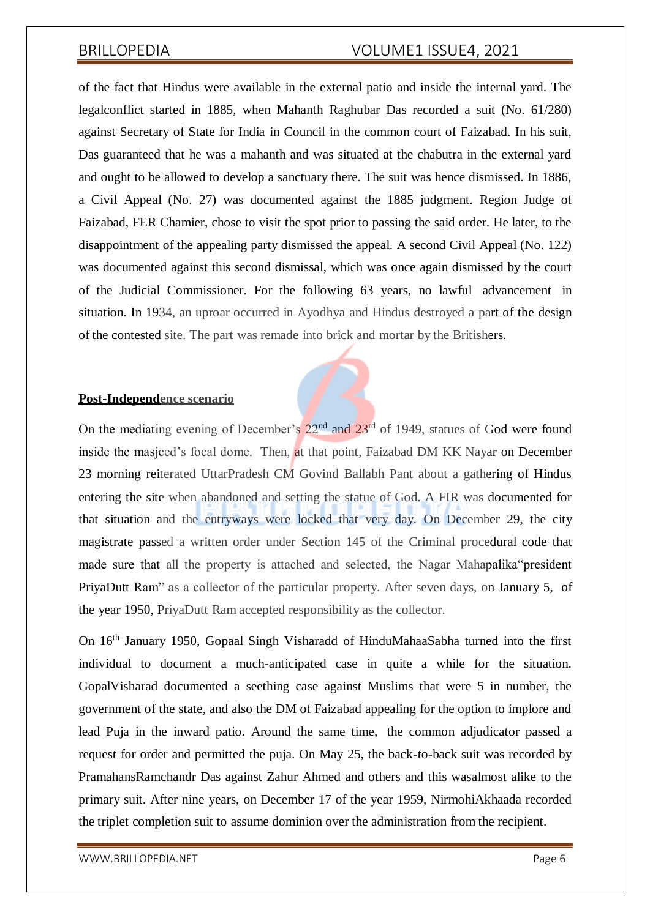of the fact that Hindus were available in the external patio and inside the internal yard. The legalconflict started in 1885, when Mahanth Raghubar Das recorded a suit (No. 61/280) against Secretary of State for India in Council in the common court of Faizabad. In his suit, Das guaranteed that he was a mahanth and was situated at the chabutra in the external yard and ought to be allowed to develop a sanctuary there. The suit was hence dismissed. In 1886, a Civil Appeal (No. 27) was documented against the 1885 judgment. Region Judge of Faizabad, FER Chamier, chose to visit the spot prior to passing the said order. He later, to the disappointment of the appealing party dismissed the appeal. A second Civil Appeal (No. 122) was documented against this second dismissal, which was once again dismissed by the court of the Judicial Commissioner. For the following 63 years, no lawful advancement in situation. In 1934, an uproar occurred in Ayodhya and Hindus destroyed a part of the design of the contested site. The part was remade into brick and mortar by the Britishers.

### **Post-Independence scenario**

On the mediating evening of December's  $22<sup>nd</sup>$  and  $23<sup>rd</sup>$  of 1949, statues of God were found inside the masjeed's focal dome. Then, at that point, Faizabad DM KK Nayar on December 23 morning reiterated UttarPradesh CM Govind Ballabh Pant about a gathering of Hindus entering the site when abandoned and setting the statue of God. A FIR was documented for that situation and the entryways were locked that very day. On December 29, the city magistrate passed a written order under Section 145 of the Criminal procedural code that made sure that all the property is attached and selected, the Nagar Mahapalika"president PriyaDutt Ram" as a collector of the particular property. After seven days, on January 5, of the year 1950, PriyaDutt Ram accepted responsibility as the collector.

On 16th January 1950, Gopaal Singh Visharadd of HinduMahaaSabha turned into the first individual to document a much-anticipated case in quite a while for the situation. GopalVisharad documented a seething case against Muslims that were 5 in number, the government of the state, and also the DM of Faizabad appealing for the option to implore and lead Puja in the inward patio. Around the same time, the common adjudicator passed a request for order and permitted the puja. On May 25, the back-to-back suit was recorded by PramahansRamchandr Das against Zahur Ahmed and others and this wasalmost alike to the primary suit. After nine years, on December 17 of the year 1959, NirmohiAkhaada recorded the triplet completion suit to assume dominion over the administration from the recipient.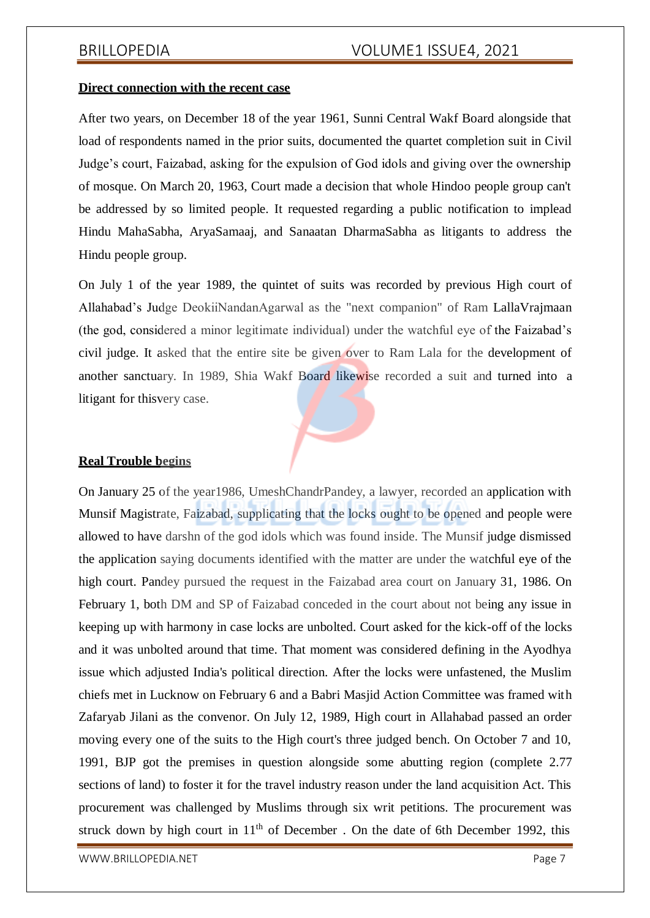### **Direct connection with the recent case**

After two years, on December 18 of the year 1961, Sunni Central Wakf Board alongside that load of respondents named in the prior suits, documented the quartet completion suit in Civil Judge's court, Faizabad, asking for the expulsion of God idols and giving over the ownership of mosque. On March 20, 1963, Court made a decision that whole Hindoo people group can't be addressed by so limited people. It requested regarding a public notification to implead Hindu MahaSabha, AryaSamaaj, and Sanaatan DharmaSabha as litigants to address the Hindu people group.

On July 1 of the year 1989, the quintet of suits was recorded by previous High court of Allahabad's Judge DeokiiNandanAgarwal as the "next companion" of Ram LallaVrajmaan (the god, considered a minor legitimate individual) under the watchful eye of the Faizabad's civil judge. It asked that the entire site be given over to Ram Lala for the development of another sanctuary. In 1989, Shia Wakf Board likewise recorded a suit and turned into a litigant for thisvery case.

### **Real Trouble begins**

On January 25 of the year1986, UmeshChandrPandey, a lawyer, recorded an application with Munsif Magistrate, Faizabad, supplicating that the locks ought to be opened and people were allowed to have darshn of the god idols which was found inside. The Munsif judge dismissed the application saying documents identified with the matter are under the watchful eye of the high court. Pandey pursued the request in the Faizabad area court on January 31, 1986. On February 1, both DM and SP of Faizabad conceded in the court about not being any issue in keeping up with harmony in case locks are unbolted. Court asked for the kick-off of the locks and it was unbolted around that time. That moment was considered defining in the Ayodhya issue which adjusted India's political direction. After the locks were unfastened, the Muslim chiefs met in Lucknow on February 6 and a Babri Masjid Action Committee was framed with Zafaryab Jilani as the convenor. On July 12, 1989, High court in Allahabad passed an order moving every one of the suits to the High court's three judged bench. On October 7 and 10, 1991, BJP got the premises in question alongside some abutting region (complete 2.77 sections of land) to foster it for the travel industry reason under the land acquisition Act. This procurement was challenged by Muslims through six writ petitions. The procurement was struck down by high court in  $11<sup>th</sup>$  of December . On the date of 6th December 1992, this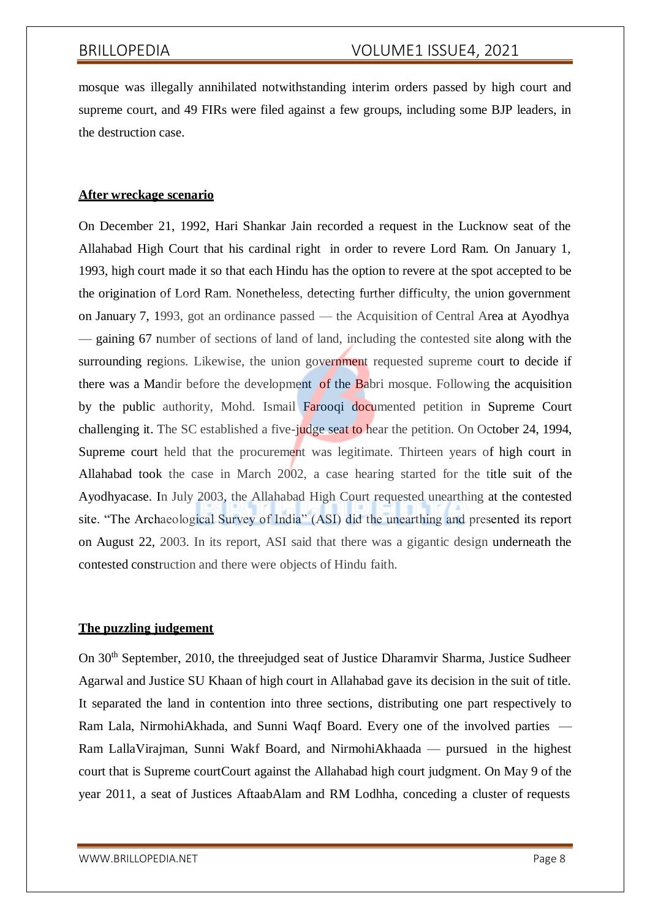mosque was illegally annihilated notwithstanding interim orders passed by high court and supreme court, and 49 FIRs were filed against a few groups, including some BJP leaders, in the destruction case.

# **After wreckage scenario**

On December 21, 1992, Hari Shankar Jain recorded a request in the Lucknow seat of the Allahabad High Court that his cardinal right in order to revere Lord Ram. On January 1, 1993, high court made it so that each Hindu has the option to revere at the spot accepted to be the origination of Lord Ram. Nonetheless, detecting further difficulty, the union government on January 7, 1993, got an ordinance passed — the Acquisition of Central Area at Ayodhya — gaining 67 number of sections of land of land, including the contested site along with the surrounding regions. Likewise, the union government requested supreme court to decide if there was a Mandir before the development of the Babri mosque. Following the acquisition by the public authority, Mohd. Ismail Farooqi documented petition in Supreme Court challenging it. The SC established a five-judge seat to hear the petition. On October 24, 1994, Supreme court held that the procurement was legitimate. Thirteen years of high court in Allahabad took the case in March 2002, a case hearing started for the title suit of the Ayodhyacase. In July 2003, the Allahabad High Court requested unearthing at the contested site. "The Archaeological Survey of India" (ASI) did the unearthing and presented its report on August 22, 2003. In its report, ASI said that there was a gigantic design underneath the contested construction and there were objects of Hindu faith.

# **The puzzling judgement**

On 30<sup>th</sup> September, 2010, the threejudged seat of Justice Dharamvir Sharma, Justice Sudheer Agarwal and Justice SU Khaan of high court in Allahabad gave its decision in the suit of title. It separated the land in contention into three sections, distributing one part respectively to Ram Lala, NirmohiAkhada, and Sunni Waqf Board. Every one of the involved parties — Ram LallaVirajman, Sunni Wakf Board, and NirmohiAkhaada — pursued in the highest court that is Supreme courtCourt against the Allahabad high court judgment. On May 9 of the year 2011, a seat of Justices AftaabAlam and RM Lodhha, conceding a cluster of requests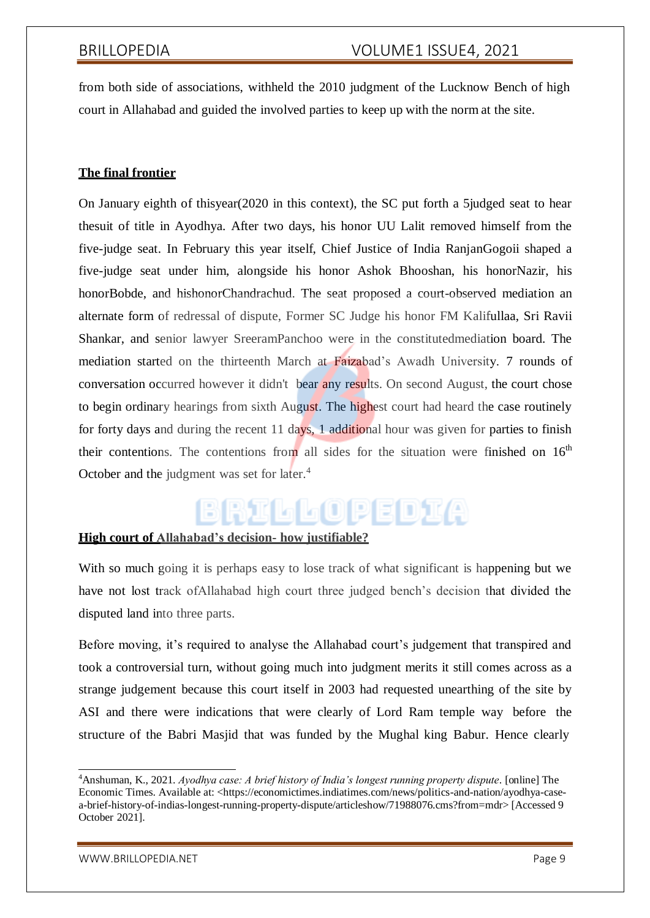from both side of associations, withheld the 2010 judgment of the Lucknow Bench of high court in Allahabad and guided the involved parties to keep up with the norm at the site.

# **The final frontier**

On January eighth of thisyear(2020 in this context), the SC put forth a 5judged seat to hear thesuit of title in Ayodhya. After two days, his honor UU Lalit removed himself from the five-judge seat. In February this year itself, Chief Justice of India RanjanGogoii shaped a five-judge seat under him, alongside his honor Ashok Bhooshan, his honorNazir, his honorBobde, and hishonorChandrachud. The seat proposed a court-observed mediation an alternate form of redressal of dispute, Former SC Judge his honor FM Kalifullaa, Sri Ravii Shankar, and senior lawyer SreeramPanchoo were in the constitutedmediation board. The mediation started on the thirteenth March at Faizabad's Awadh University. 7 rounds of conversation occurred however it didn't bear any results. On second August, the court chose to begin ordinary hearings from sixth August. The highest court had heard the case routinely for forty days and during the recent 11 days, 1 additional hour was given for parties to finish their contentions. The contentions from all sides for the situation were finished on  $16<sup>th</sup>$ October and the judgment was set for later.<sup>4</sup>

# RILLOPEDIA

# **High court of Allahabad's decision- how justifiable?**

With so much going it is perhaps easy to lose track of what significant is happening but we have not lost track ofAllahabad high court three judged bench's decision that divided the disputed land into three parts.

Before moving, it's required to analyse the Allahabad court's judgement that transpired and took a controversial turn, without going much into judgment merits it still comes across as a strange judgement because this court itself in 2003 had requested unearthing of the site by ASI and there were indications that were clearly of Lord Ram temple way before the structure of the Babri Masjid that was funded by the Mughal king Babur. Hence clearly

<sup>4</sup>Anshuman, K., 2021. *Ayodhya case: A brief history of India's longest running property dispute*. [online] The Economic Times. Available at: <https://economictimes.indiatimes.com/news/politics-and-nation/ayodhya-casea-brief-history-of-indias-longest-running-property-dispute/articleshow/71988076.cms?from=mdr> [Accessed 9 October 2021].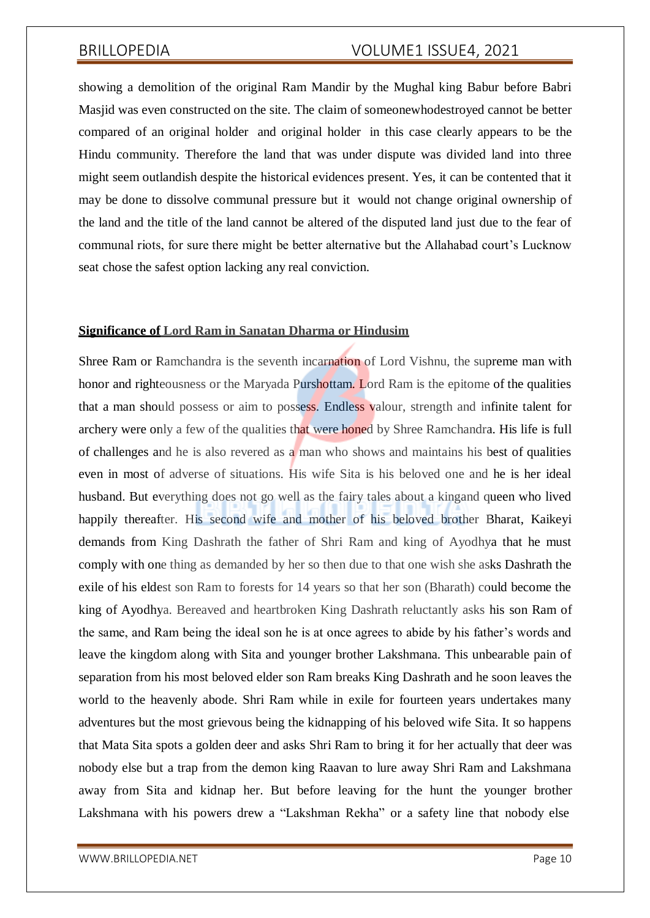showing a demolition of the original Ram Mandir by the Mughal king Babur before Babri Masjid was even constructed on the site. The claim of someonewhodestroyed cannot be better compared of an original holder and original holder in this case clearly appears to be the Hindu community. Therefore the land that was under dispute was divided land into three might seem outlandish despite the historical evidences present. Yes, it can be contented that it may be done to dissolve communal pressure but it would not change original ownership of the land and the title of the land cannot be altered of the disputed land just due to the fear of communal riots, for sure there might be better alternative but the Allahabad court's Lucknow seat chose the safest option lacking any real conviction.

# **Significance of Lord Ram in Sanatan Dharma or Hindusim**

Shree Ram or Ramchandra is the seventh incarnation of Lord Vishnu, the supreme man with honor and righteousness or the Maryada Purshottam. Lord Ram is the epitome of the qualities that a man should possess or aim to possess. Endless valour, strength and infinite talent for archery were only a few of the qualities that were honed by Shree Ramchandra. His life is full of challenges and he is also revered as a man who shows and maintains his best of qualities even in most of adverse of situations. His wife Sita is his beloved one and he is her ideal husband. But everything does not go well as the fairy tales about a kingand queen who lived happily thereafter. His second wife and mother of his beloved brother Bharat, Kaikeyi demands from King Dashrath the father of Shri Ram and king of Ayodhya that he must comply with one thing as demanded by her so then due to that one wish she asks Dashrath the exile of his eldest son Ram to forests for 14 years so that her son (Bharath) could become the king of Ayodhya. Bereaved and heartbroken King Dashrath reluctantly asks his son Ram of the same, and Ram being the ideal son he is at once agrees to abide by his father's words and leave the kingdom along with Sita and younger brother Lakshmana. This unbearable pain of separation from his most beloved elder son Ram breaks King Dashrath and he soon leaves the world to the heavenly abode. Shri Ram while in exile for fourteen years undertakes many adventures but the most grievous being the kidnapping of his beloved wife Sita. It so happens that Mata Sita spots a golden deer and asks Shri Ram to bring it for her actually that deer was nobody else but a trap from the demon king Raavan to lure away Shri Ram and Lakshmana away from Sita and kidnap her. But before leaving for the hunt the younger brother Lakshmana with his powers drew a "Lakshman Rekha" or a safety line that nobody else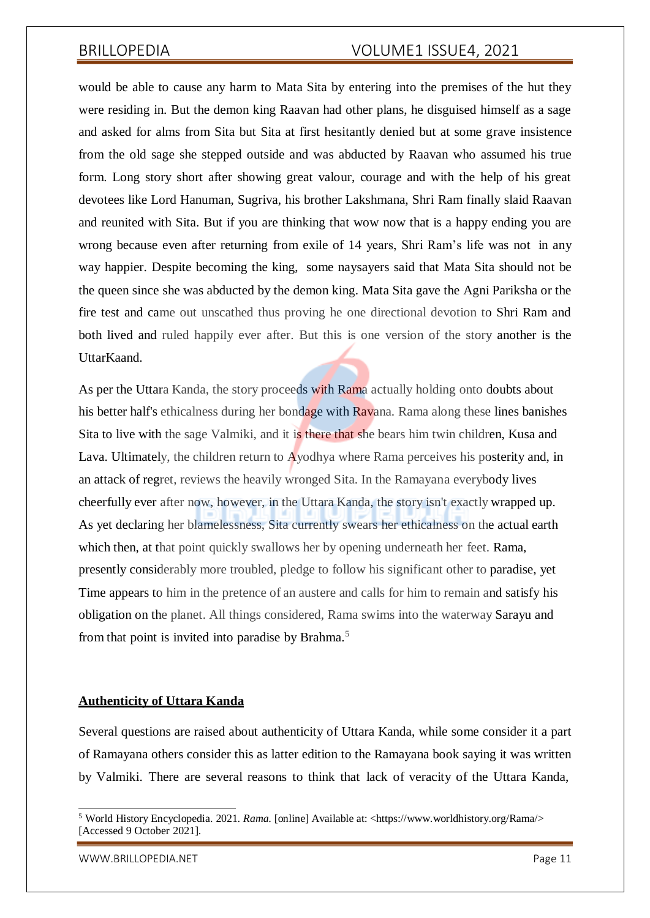would be able to cause any harm to Mata Sita by entering into the premises of the hut they were residing in. But the demon king Raavan had other plans, he disguised himself as a sage and asked for alms from Sita but Sita at first hesitantly denied but at some grave insistence from the old sage she stepped outside and was abducted by Raavan who assumed his true form. Long story short after showing great valour, courage and with the help of his great devotees like Lord Hanuman, Sugriva, his brother Lakshmana, Shri Ram finally slaid Raavan and reunited with Sita. But if you are thinking that wow now that is a happy ending you are wrong because even after returning from exile of 14 years, Shri Ram's life was not in any way happier. Despite becoming the king, some naysayers said that Mata Sita should not be the queen since she was abducted by the demon king. Mata Sita gave the Agni Pariksha or the fire test and came out unscathed thus proving he one directional devotion to Shri Ram and both lived and ruled happily ever after. But this is one version of the story another is the UttarKaand.

As per the Uttara Kanda, the story proceeds with Rama actually holding onto doubts about his better half's ethicalness during her bondage with Ravana. Rama along these lines banishes Sita to live with the sage Valmiki, and it is there that she bears him twin children, Kusa and Lava. Ultimately, the children return to Ayodhya where Rama perceives his posterity and, in an attack of regret, reviews the heavily wronged Sita. In the Ramayana everybody lives cheerfully ever after now, however, in the Uttara Kanda, the story isn't exactly wrapped up. As yet declaring her blamelessness, Sita currently swears her ethicalness on the actual earth which then, at that point quickly swallows her by opening underneath her feet. Rama, presently considerably more troubled, pledge to follow his significant other to paradise, yet Time appears to him in the pretence of an austere and calls for him to remain and satisfy his obligation on the planet. All things considered, Rama swims into the waterway Sarayu and from that point is invited into paradise by Brahma.<sup>5</sup>

### **Authenticity of Uttara Kanda**

Several questions are raised about authenticity of Uttara Kanda, while some consider it a part of Ramayana others consider this as latter edition to the Ramayana book saying it was written by Valmiki. There are several reasons to think that lack of veracity of the Uttara Kanda,

<sup>5</sup> World History Encyclopedia. 2021. *Rama*. [online] Available at: <https:/[/www.worldhistory.org/Rama/>](http://www.worldhistory.org/Rama/) [Accessed 9 October 2021].

[WWW.BRILLOPEDIA.NET](http://www.brillopedia.net/) NET A SAN A SERVER AND THE PAGE 11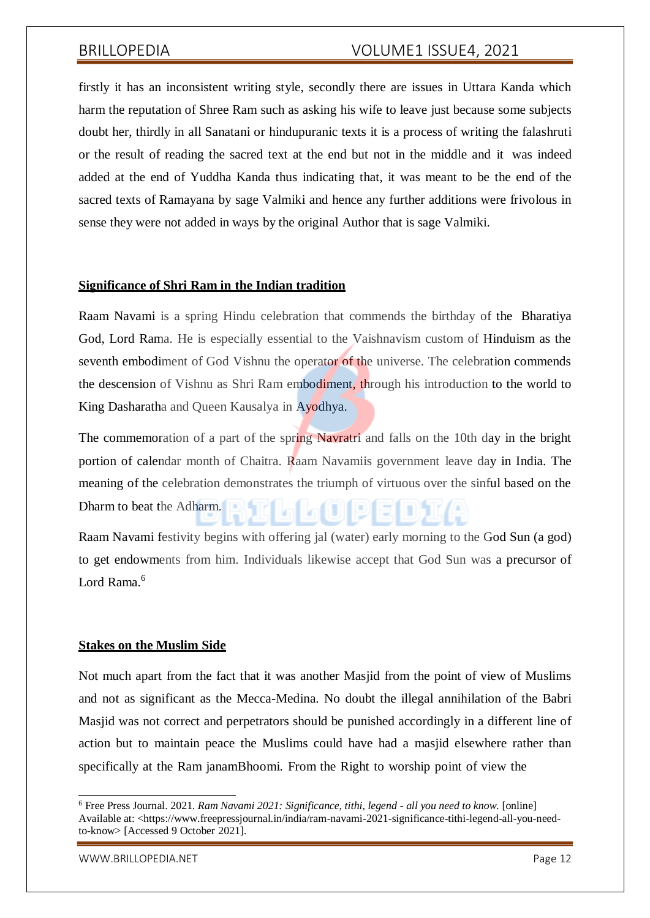firstly it has an inconsistent writing style, secondly there are issues in Uttara Kanda which harm the reputation of Shree Ram such as asking his wife to leave just because some subjects doubt her, thirdly in all Sanatani or hindupuranic texts it is a process of writing the falashruti or the result of reading the sacred text at the end but not in the middle and it was indeed added at the end of Yuddha Kanda thus indicating that, it was meant to be the end of the sacred texts of Ramayana by sage Valmiki and hence any further additions were frivolous in sense they were not added in ways by the original Author that is sage Valmiki.

### **Significance of Shri Ram in the Indian tradition**

Raam Navami is a spring Hindu celebration that commends the birthday of the Bharatiya God, Lord Rama. He is especially essential to the Vaishnavism custom of Hinduism as the seventh embodiment of God Vishnu the operator of the universe. The celebration commends the descension of Vishnu as Shri Ram embodiment, through his introduction to the world to King Dasharatha and Queen Kausalya in Ayodhya.

The commemoration of a part of the spring Navratri and falls on the 10th day in the bright portion of calendar month of Chaitra. Raam Navamiis government leave day in India. The meaning of the celebration demonstrates the triumph of virtuous over the sinful based on the Dharm to beat the Adharm.

Raam Navami festivity begins with offering jal (water) early morning to the God Sun (a god) to get endowments from him. Individuals likewise accept that God Sun was a precursor of Lord Rama<sup>6</sup>

### **Stakes on the Muslim Side**

Not much apart from the fact that it was another Masjid from the point of view of Muslims and not as significant as the Mecca-Medina. No doubt the illegal annihilation of the Babri Masjid was not correct and perpetrators should be punished accordingly in a different line of action but to maintain peace the Muslims could have had a masjid elsewhere rather than specifically at the Ram janamBhoomi. From the Right to worship point of view the

[WWW.BRILLOPEDIA.NET](http://www.brillopedia.net/) Page 12

<sup>6</sup> Free Press Journal. 2021. *Ram Navami 2021: Significance, tithi, legend - all you need to know*. [online] Available at: <https:/[/www.freepressjournal.in/india/ram-navami-2021-significance-tithi-legend-all-you-need](http://www.freepressjournal.in/india/ram-navami-2021-significance-tithi-legend-all-you-need-)to-know> [Accessed 9 October 2021].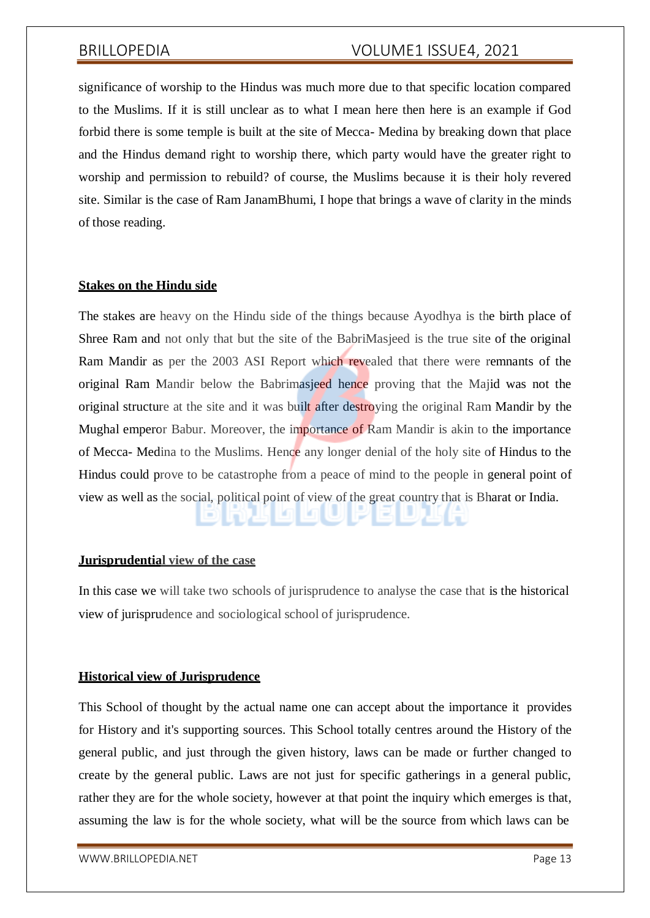significance of worship to the Hindus was much more due to that specific location compared to the Muslims. If it is still unclear as to what I mean here then here is an example if God forbid there is some temple is built at the site of Mecca- Medina by breaking down that place and the Hindus demand right to worship there, which party would have the greater right to worship and permission to rebuild? of course, the Muslims because it is their holy revered site. Similar is the case of Ram JanamBhumi, I hope that brings a wave of clarity in the minds of those reading.

# **Stakes on the Hindu side**

The stakes are heavy on the Hindu side of the things because Ayodhya is the birth place of Shree Ram and not only that but the site of the BabriMasjeed is the true site of the original Ram Mandir as per the 2003 ASI Report which revealed that there were remnants of the original Ram Mandir below the Babrimasjeed hence proving that the Majid was not the original structure at the site and it was built after destroying the original Ram Mandir by the Mughal emperor Babur. Moreover, the importance of Ram Mandir is akin to the importance of Mecca- Medina to the Muslims. Hence any longer denial of the holy site of Hindus to the Hindus could prove to be catastrophe from a peace of mind to the people in general point of view as well as the social, political point of view of the great country that is Bharat or India.

### **Jurisprudential view of the case**

In this case we will take two schools of jurisprudence to analyse the case that is the historical view of jurisprudence and sociological school of jurisprudence.

### **Historical view of Jurisprudence**

This School of thought by the actual name one can accept about the importance it provides for History and it's supporting sources. This School totally centres around the History of the general public, and just through the given history, laws can be made or further changed to create by the general public. Laws are not just for specific gatherings in a general public, rather they are for the whole society, however at that point the inquiry which emerges is that, assuming the law is for the whole society, what will be the source from which laws can be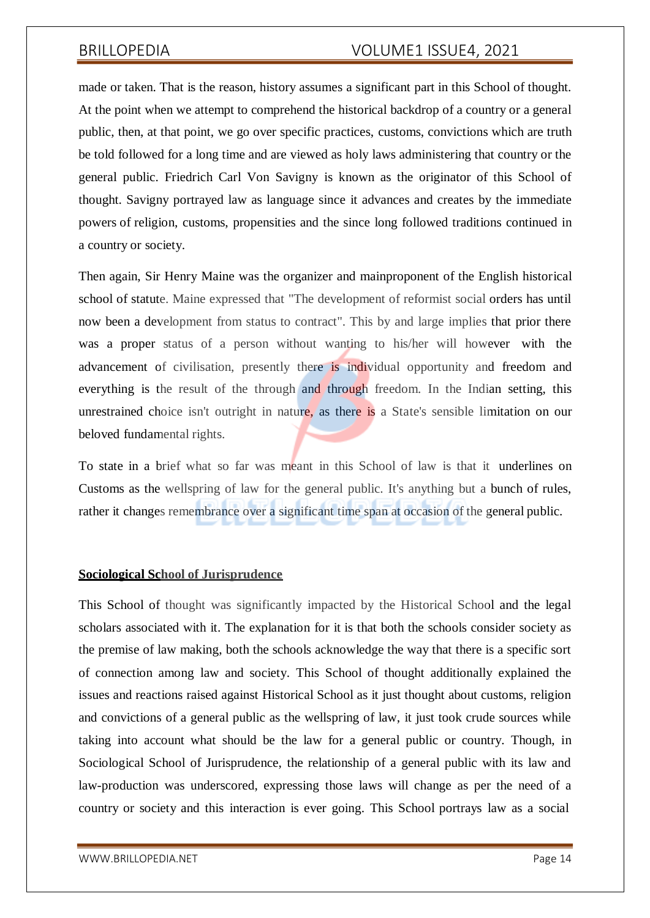made or taken. That is the reason, history assumes a significant part in this School of thought. At the point when we attempt to comprehend the historical backdrop of a country or a general public, then, at that point, we go over specific practices, customs, convictions which are truth be told followed for a long time and are viewed as holy laws administering that country or the general public. Friedrich Carl Von Savigny is known as the originator of this School of thought. Savigny portrayed law as language since it advances and creates by the immediate powers of religion, customs, propensities and the since long followed traditions continued in a country or society.

Then again, Sir Henry Maine was the organizer and mainproponent of the English historical school of statute. Maine expressed that "The development of reformist social orders has until now been a development from status to contract". This by and large implies that prior there was a proper status of a person without wanting to his/her will however with the advancement of civilisation, presently there is individual opportunity and freedom and everything is the result of the through and through freedom. In the Indian setting, this unrestrained choice isn't outright in nature, as there is a State's sensible limitation on our beloved fundamental rights.

To state in a brief what so far was meant in this School of law is that it underlines on Customs as the wellspring of law for the general public. It's anything but a bunch of rules, rather it changes remembrance over a significant time span at occasion of the general public.

### **Sociological School of Jurisprudence**

This School of thought was significantly impacted by the Historical School and the legal scholars associated with it. The explanation for it is that both the schools consider society as the premise of law making, both the schools acknowledge the way that there is a specific sort of connection among law and society. This School of thought additionally explained the issues and reactions raised against Historical School as it just thought about customs, religion and convictions of a general public as the wellspring of law, it just took crude sources while taking into account what should be the law for a general public or country. Though, in Sociological School of Jurisprudence, the relationship of a general public with its law and law-production was underscored, expressing those laws will change as per the need of a country or society and this interaction is ever going. This School portrays law as a social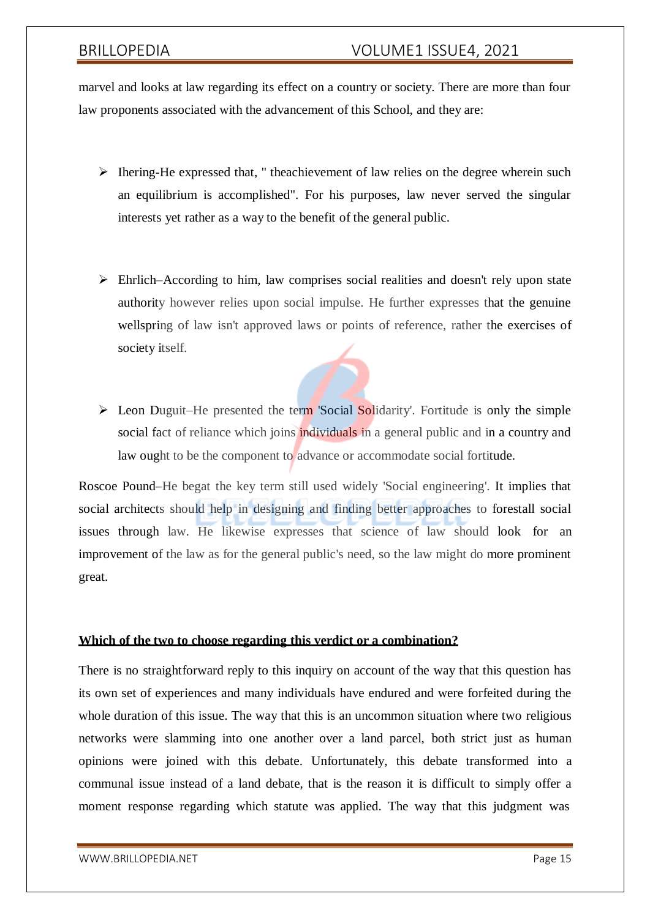marvel and looks at law regarding its effect on a country or society. There are more than four law proponents associated with the advancement of this School, and they are:

- $\triangleright$  Ihering-He expressed that, " theachievement of law relies on the degree wherein such an equilibrium is accomplished". For his purposes, law never served the singular interests yet rather as a way to the benefit of the general public.
- $\triangleright$  Ehrlich–According to him, law comprises social realities and doesn't rely upon state authority however relies upon social impulse. He further expresses that the genuine wellspring of law isn't approved laws or points of reference, rather the exercises of society itself.
- $\triangleright$  Leon Duguit–He presented the term 'Social Solidarity'. Fortitude is only the simple social fact of reliance which joins individuals in a general public and in a country and law ought to be the component to advance or accommodate social fortitude.

Roscoe Pound–He begat the key term still used widely 'Social engineering'. It implies that social architects should help in designing and finding better approaches to forestall social issues through law. He likewise expresses that science of law should look for an improvement of the law as for the general public's need, so the law might do more prominent great.

# **Which of the two to choose regarding this verdict or a combination?**

There is no straightforward reply to this inquiry on account of the way that this question has its own set of experiences and many individuals have endured and were forfeited during the whole duration of this issue. The way that this is an uncommon situation where two religious networks were slamming into one another over a land parcel, both strict just as human opinions were joined with this debate. Unfortunately, this debate transformed into a communal issue instead of a land debate, that is the reason it is difficult to simply offer a moment response regarding which statute was applied. The way that this judgment was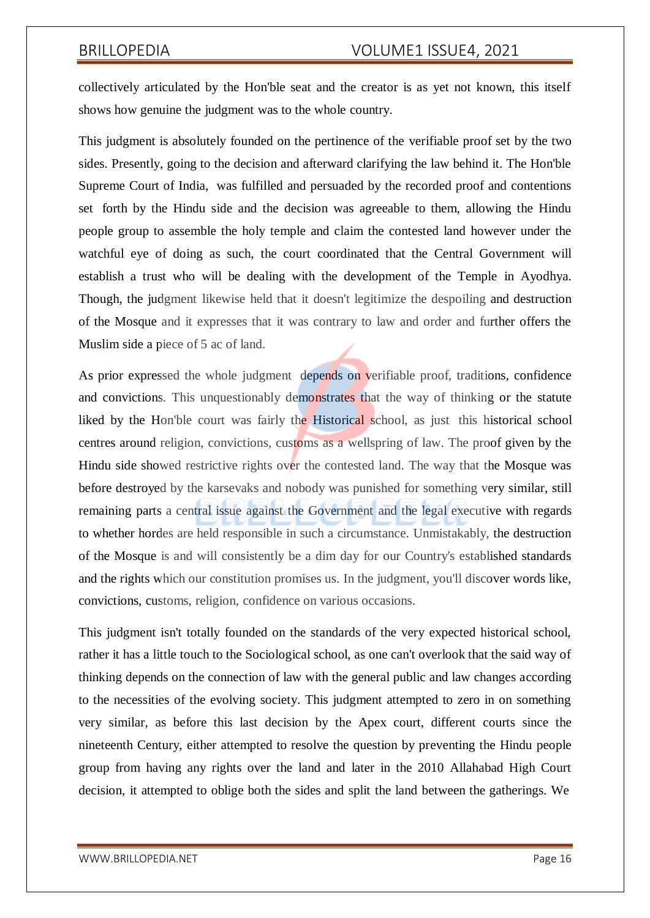collectively articulated by the Hon'ble seat and the creator is as yet not known, this itself shows how genuine the judgment was to the whole country.

This judgment is absolutely founded on the pertinence of the verifiable proof set by the two sides. Presently, going to the decision and afterward clarifying the law behind it. The Hon'ble Supreme Court of India, was fulfilled and persuaded by the recorded proof and contentions set forth by the Hindu side and the decision was agreeable to them, allowing the Hindu people group to assemble the holy temple and claim the contested land however under the watchful eye of doing as such, the court coordinated that the Central Government will establish a trust who will be dealing with the development of the Temple in Ayodhya. Though, the judgment likewise held that it doesn't legitimize the despoiling and destruction of the Mosque and it expresses that it was contrary to law and order and further offers the Muslim side a piece of 5 ac of land.

As prior expressed the whole judgment depends on verifiable proof, traditions, confidence and convictions. This unquestionably demonstrates that the way of thinking or the statute liked by the Hon'ble court was fairly the Historical school, as just this historical school centres around religion, convictions, customs as a wellspring of law. The proof given by the Hindu side showed restrictive rights over the contested land. The way that the Mosque was before destroyed by the karsevaks and nobody was punished for something very similar, still remaining parts a central issue against the Government and the legal executive with regards to whether hordes are held responsible in such a circumstance. Unmistakably, the destruction of the Mosque is and will consistently be a dim day for our Country's established standards and the rights which our constitution promises us. In the judgment, you'll discover words like, convictions, customs, religion, confidence on various occasions.

This judgment isn't totally founded on the standards of the very expected historical school, rather it has a little touch to the Sociological school, as one can't overlook that the said way of thinking depends on the connection of law with the general public and law changes according to the necessities of the evolving society. This judgment attempted to zero in on something very similar, as before this last decision by the Apex court, different courts since the nineteenth Century, either attempted to resolve the question by preventing the Hindu people group from having any rights over the land and later in the 2010 Allahabad High Court decision, it attempted to oblige both the sides and split the land between the gatherings. We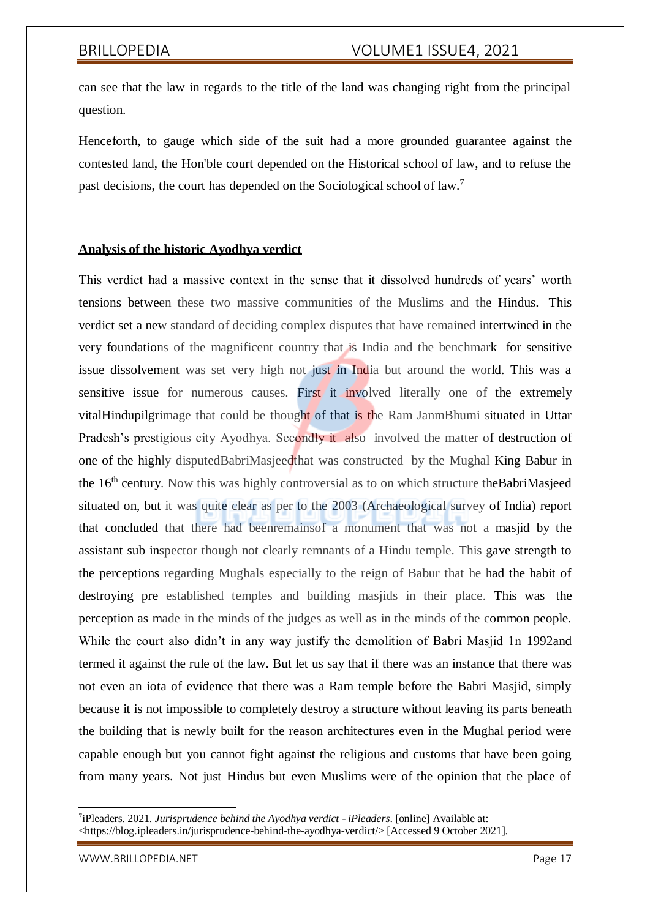can see that the law in regards to the title of the land was changing right from the principal question.

Henceforth, to gauge which side of the suit had a more grounded guarantee against the contested land, the Hon'ble court depended on the Historical school of law, and to refuse the past decisions, the court has depended on the Sociological school of law.<sup>7</sup>

# **Analysis of the historic Ayodhya verdict**

This verdict had a massive context in the sense that it dissolved hundreds of years' worth tensions between these two massive communities of the Muslims and the Hindus. This verdict set a new standard of deciding complex disputes that have remained intertwined in the very foundations of the magnificent country that is India and the benchmark for sensitive issue dissolvement was set very high not just in India but around the world. This was a sensitive issue for numerous causes. First it involved literally one of the extremely vitalHindupilgrimage that could be thought of that is the Ram JanmBhumi situated in Uttar Pradesh's prestigious city Ayodhya. Secondly it also involved the matter of destruction of one of the highly disputedBabriMasjeedthat was constructed by the Mughal King Babur in the 16<sup>th</sup> century. Now this was highly controversial as to on which structure theBabriMasjeed situated on, but it was quite clear as per to the 2003 (Archaeological survey of India) report that concluded that there had beenremainsof a monument that was not a masjid by the assistant sub inspector though not clearly remnants of a Hindu temple. This gave strength to the perceptions regarding Mughals especially to the reign of Babur that he had the habit of destroying pre established temples and building masjids in their place. This was the perception as made in the minds of the judges as well as in the minds of the common people. While the court also didn't in any way justify the demolition of Babri Masjid 1n 1992and termed it against the rule of the law. But let us say that if there was an instance that there was not even an iota of evidence that there was a Ram temple before the Babri Masjid, simply because it is not impossible to completely destroy a structure without leaving its parts beneath the building that is newly built for the reason architectures even in the Mughal period were capable enough but you cannot fight against the religious and customs that have been going from many years. Not just Hindus but even Muslims were of the opinion that the place of

<sup>7</sup> iPleaders. 2021. *Jurisprudence behind the Ayodhya verdict - iPleaders*. [online] Available at: <https://blog.ipleaders.in/jurisprudence-behind-the-ayodhya-verdict/> [Accessed 9 October 2021].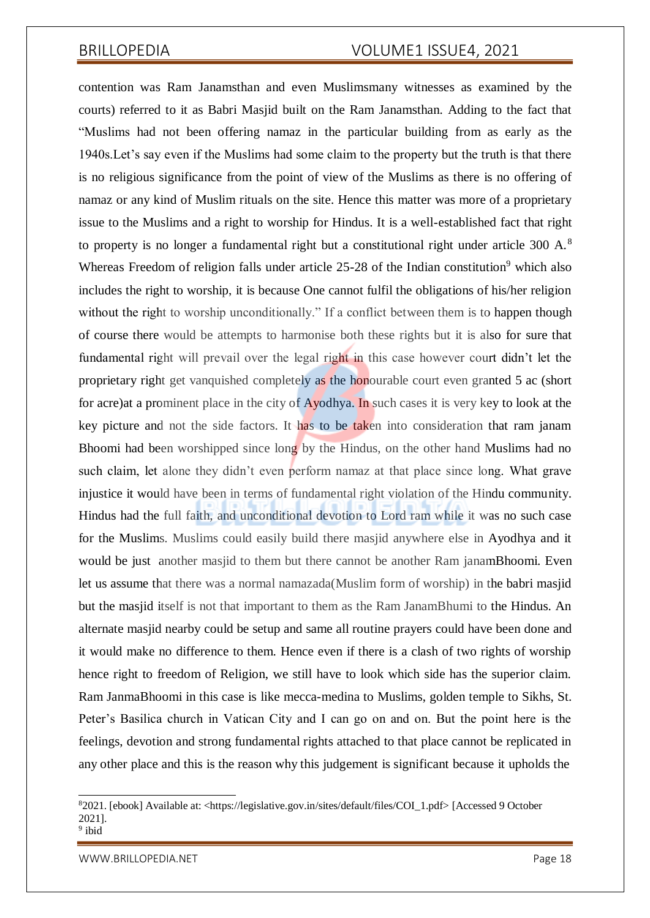contention was Ram Janamsthan and even Muslimsmany witnesses as examined by the courts) referred to it as Babri Masjid built on the Ram Janamsthan. Adding to the fact that "Muslims had not been offering namaz in the particular building from as early as the 1940s.Let's say even if the Muslims had some claim to the property but the truth is that there is no religious significance from the point of view of the Muslims as there is no offering of namaz or any kind of Muslim rituals on the site. Hence this matter was more of a proprietary issue to the Muslims and a right to worship for Hindus. It is a well-established fact that right to property is no longer a fundamental right but a constitutional right under article 300 A.<sup>8</sup> Whereas Freedom of religion falls under article  $25-28$  of the Indian constitution<sup>9</sup> which also includes the right to worship, it is because One cannot fulfil the obligations of his/her religion without the right to worship unconditionally." If a conflict between them is to happen though of course there would be attempts to harmonise both these rights but it is also for sure that fundamental right will prevail over the legal right in this case however court didn't let the proprietary right get vanquished completely as the honourable court even granted 5 ac (short for acre)at a prominent place in the city of Ayodhya. In such cases it is very key to look at the key picture and not the side factors. It has to be taken into consideration that ram janam Bhoomi had been worshipped since long by the Hindus, on the other hand Muslims had no such claim, let alone they didn't even perform namaz at that place since long. What grave injustice it would have been in terms of fundamental right violation of the Hindu community. Hindus had the full faith, and unconditional devotion to Lord ram while it was no such case for the Muslims. Muslims could easily build there masjid anywhere else in Ayodhya and it would be just another masjid to them but there cannot be another Ram janamBhoomi. Even let us assume that there was a normal namazada(Muslim form of worship) in the babri masjid but the masjid itself is not that important to them as the Ram JanamBhumi to the Hindus. An alternate masjid nearby could be setup and same all routine prayers could have been done and it would make no difference to them. Hence even if there is a clash of two rights of worship hence right to freedom of Religion, we still have to look which side has the superior claim. Ram JanmaBhoomi in this case is like mecca-medina to Muslims, golden temple to Sikhs, St. Peter's Basilica church in Vatican City and I can go on and on. But the point here is the feelings, devotion and strong fundamental rights attached to that place cannot be replicated in any other place and this is the reason why this judgement is significant because it upholds the

[WWW.BRILLOPEDIA.NET](http://www.brillopedia.net/) And the state of the state of the state of the state of the state of the state of the state of the state of the state of the state of the state of the state of the state of the state of the state of the

<sup>8</sup>2021. [ebook] Available at: <https://legislative.gov.in/sites/default/files/COI\_1.pdf> [Accessed 9 October 2021].

<sup>&</sup>lt;sup>9</sup> ibid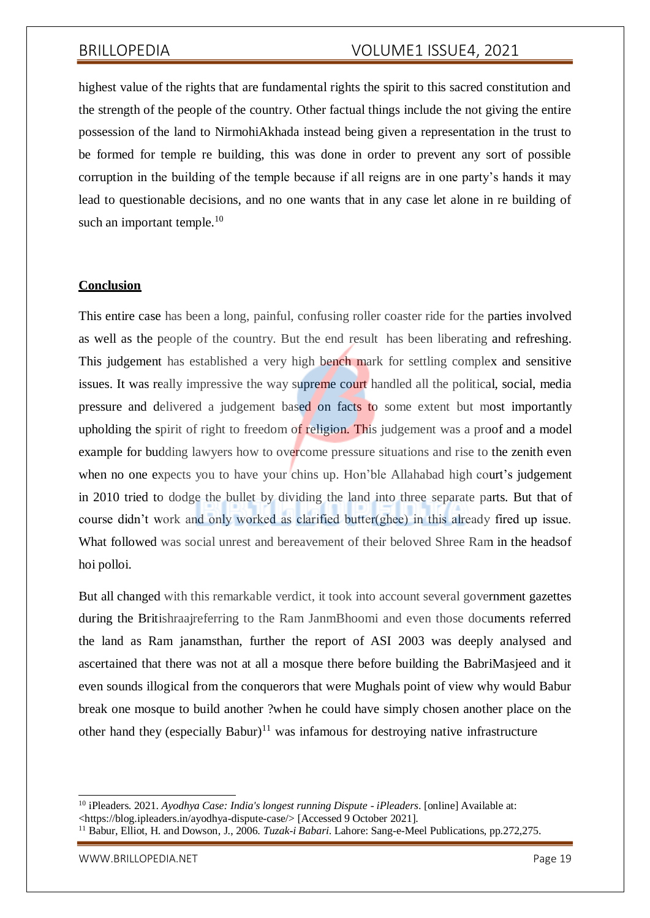highest value of the rights that are fundamental rights the spirit to this sacred constitution and the strength of the people of the country. Other factual things include the not giving the entire possession of the land to NirmohiAkhada instead being given a representation in the trust to be formed for temple re building, this was done in order to prevent any sort of possible corruption in the building of the temple because if all reigns are in one party's hands it may lead to questionable decisions, and no one wants that in any case let alone in re building of such an important temple. $10$ 

### **Conclusion**

This entire case has been a long, painful, confusing roller coaster ride for the parties involved as well as the people of the country. But the end result has been liberating and refreshing. This judgement has established a very high bench mark for settling complex and sensitive issues. It was really impressive the way supreme court handled all the political, social, media pressure and delivered a judgement based on facts to some extent but most importantly upholding the spirit of right to freedom of religion. This judgement was a proof and a model example for budding lawyers how to overcome pressure situations and rise to the zenith even when no one expects you to have your chins up. Hon'ble Allahabad high court's judgement in 2010 tried to dodge the bullet by dividing the land into three separate parts. But that of course didn't work and only worked as clarified butter(ghee) in this already fired up issue. What followed was social unrest and bereavement of their beloved Shree Ram in the headsof hoi polloi.

But all changed with this remarkable verdict, it took into account several government gazettes during the Britishraajreferring to the Ram JanmBhoomi and even those documents referred the land as Ram janamsthan, further the report of ASI 2003 was deeply analysed and ascertained that there was not at all a mosque there before building the BabriMasjeed and it even sounds illogical from the conquerors that were Mughals point of view why would Babur break one mosque to build another ?when he could have simply chosen another place on the other hand they (especially Babur)<sup>11</sup> was infamous for destroying native infrastructure

<sup>10</sup> iPleaders. 2021. *Ayodhya Case: India's longest running Dispute - iPleaders*. [online] Available at:

<sup>&</sup>lt;https://blog.ipleaders.in/ayodhya-dispute-case/> [Accessed 9 October 2021].

<sup>11</sup> Babur, Elliot, H. and Dowson, J., 2006. *Tuzak-i Babari*. Lahore: Sang-e-Meel Publications, pp.272,275.